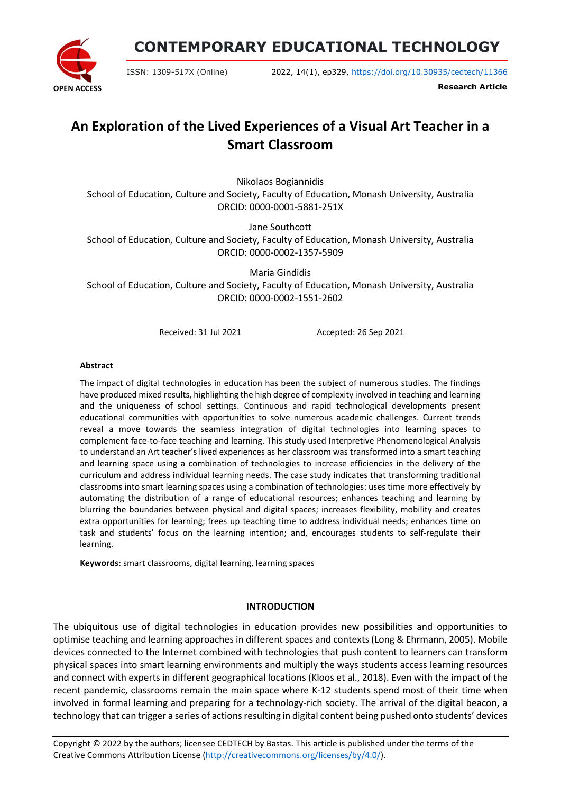**OPEN ACCESS**

**CONTEMPORARY EDUCATIONAL TECHNOLOGY**

ISSN: 1309-517X (Online) 2022, 14(1), ep329, <https://doi.org/10.30935/cedtech/11366>

**Research Article**

# **An Exploration of the Lived Experiences of a Visual Art Teacher in a Smart Classroom**

Nikolaos Bogiannidis School of Education, Culture and Society, Faculty of Education, Monash University, Australia ORCID: 0000-0001-5881-251X

Jane Southcott

School of Education, Culture and Society, Faculty of Education, Monash University, Australia ORCID: 0000-0002-1357-5909

Maria Gindidis School of Education, Culture and Society, Faculty of Education, Monash University, Australia ORCID: 0000-0002-1551-2602

Received: 31 Jul 2021 Accepted: 26 Sep 2021

#### **Abstract**

The impact of digital technologies in education has been the subject of numerous studies. The findings have produced mixed results, highlighting the high degree of complexity involved in teaching and learning and the uniqueness of school settings. Continuous and rapid technological developments present educational communities with opportunities to solve numerous academic challenges. Current trends reveal a move towards the seamless integration of digital technologies into learning spaces to complement face-to-face teaching and learning. This study used Interpretive Phenomenological Analysis to understand an Art teacher's lived experiences as her classroom was transformed into a smart teaching and learning space using a combination of technologies to increase efficiencies in the delivery of the curriculum and address individual learning needs. The case study indicates that transforming traditional classrooms into smart learning spaces using a combination of technologies: uses time more effectively by automating the distribution of a range of educational resources; enhances teaching and learning by blurring the boundaries between physical and digital spaces; increases flexibility, mobility and creates extra opportunities for learning; frees up teaching time to address individual needs; enhances time on task and students' focus on the learning intention; and, encourages students to self-regulate their learning.

**Keywords**: smart classrooms, digital learning, learning spaces

## **INTRODUCTION**

The ubiquitous use of digital technologies in education provides new possibilities and opportunities to optimise teaching and learning approaches in different spaces and contexts (Long & Ehrmann, 2005). Mobile devices connected to the Internet combined with technologies that push content to learners can transform physical spaces into smart learning environments and multiply the ways students access learning resources and connect with experts in different geographical locations (Kloos et al., 2018). Even with the impact of the recent pandemic, classrooms remain the main space where K-12 students spend most of their time when involved in formal learning and preparing for a technology-rich society. The arrival of the digital beacon, a technology that can trigger a series of actions resulting in digital content being pushed onto students' devices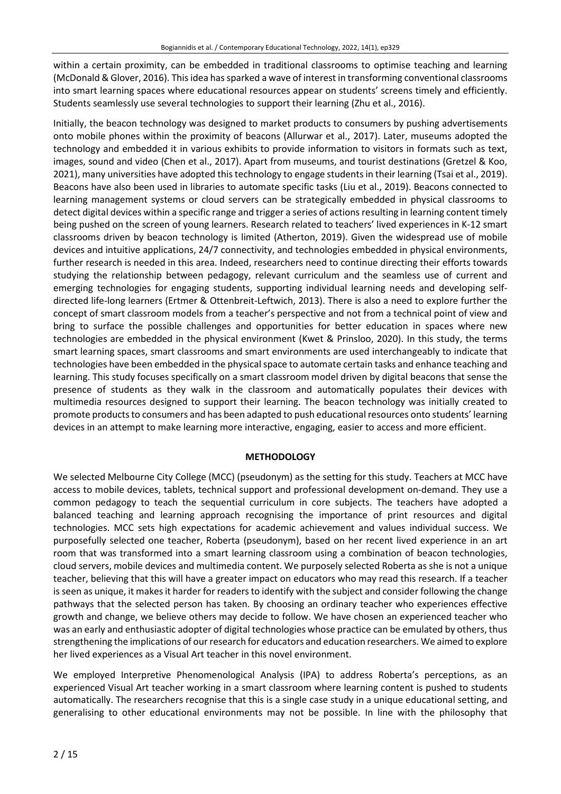within a certain proximity, can be embedded in traditional classrooms to optimise teaching and learning (McDonald & Glover, 2016). Thisidea hassparked a wave of interest in transforming conventional classrooms into smart learning spaces where educational resources appear on students' screens timely and efficiently. Students seamlessly use several technologies to support their learning (Zhu et al., 2016).

Initially, the beacon technology was designed to market products to consumers by pushing advertisements onto mobile phones within the proximity of beacons (Allurwar et al., 2017). Later, museums adopted the technology and embedded it in various exhibits to provide information to visitors in formats such as text, images, sound and video (Chen et al., 2017). Apart from museums, and tourist destinations (Gretzel & Koo, 2021), many universities have adopted thistechnology to engage studentsin their learning (Tsai et al., 2019). Beacons have also been used in libraries to automate specific tasks (Liu et al., 2019). Beacons connected to learning management systems or cloud servers can be strategically embedded in physical classrooms to detect digital devices within a specific range and trigger a series of actions resulting in learning content timely being pushed on the screen of young learners. Research related to teachers' lived experiences in K-12 smart classrooms driven by beacon technology is limited (Atherton, 2019). Given the widespread use of mobile devices and intuitive applications, 24/7 connectivity, and technologies embedded in physical environments, further research is needed in this area. Indeed, researchers need to continue directing their efforts towards studying the relationship between pedagogy, relevant curriculum and the seamless use of current and emerging technologies for engaging students, supporting individual learning needs and developing selfdirected life-long learners (Ertmer & Ottenbreit-Leftwich, 2013). There is also a need to explore further the concept of smart classroom models from a teacher's perspective and not from a technical point of view and bring to surface the possible challenges and opportunities for better education in spaces where new technologies are embedded in the physical environment (Kwet & Prinsloo, 2020). In this study, the terms smart learning spaces, smart classrooms and smart environments are used interchangeably to indicate that technologies have been embedded in the physical space to automate certain tasks and enhance teaching and learning. This study focuses specifically on a smart classroom model driven by digital beacons that sense the presence of students as they walk in the classroom and automatically populates their devices with multimedia resources designed to support their learning. The beacon technology was initially created to promote products to consumers and has been adapted to push educational resources onto students' learning devices in an attempt to make learning more interactive, engaging, easier to access and more efficient.

## **METHODOLOGY**

We selected Melbourne City College (MCC) (pseudonym) as the setting for this study. Teachers at MCC have access to mobile devices, tablets, technical support and professional development on-demand. They use a common pedagogy to teach the sequential curriculum in core subjects. The teachers have adopted a balanced teaching and learning approach recognising the importance of print resources and digital technologies. MCC sets high expectations for academic achievement and values individual success. We purposefully selected one teacher, Roberta (pseudonym), based on her recent lived experience in an art room that was transformed into a smart learning classroom using a combination of beacon technologies, cloud servers, mobile devices and multimedia content. We purposely selected Roberta as she is not a unique teacher, believing that this will have a greater impact on educators who may read this research. If a teacher is seen as unique, it makes it harder for readers to identify with the subject and consider following the change pathways that the selected person has taken. By choosing an ordinary teacher who experiences effective growth and change, we believe others may decide to follow. We have chosen an experienced teacher who was an early and enthusiastic adopter of digital technologies whose practice can be emulated by others, thus strengthening the implications of ourresearch for educators and education researchers. We aimed to explore her lived experiences as a Visual Art teacher in this novel environment.

We employed Interpretive Phenomenological Analysis (IPA) to address Roberta's perceptions, as an experienced Visual Art teacher working in a smart classroom where learning content is pushed to students automatically. The researchers recognise that this is a single case study in a unique educational setting, and generalising to other educational environments may not be possible. In line with the philosophy that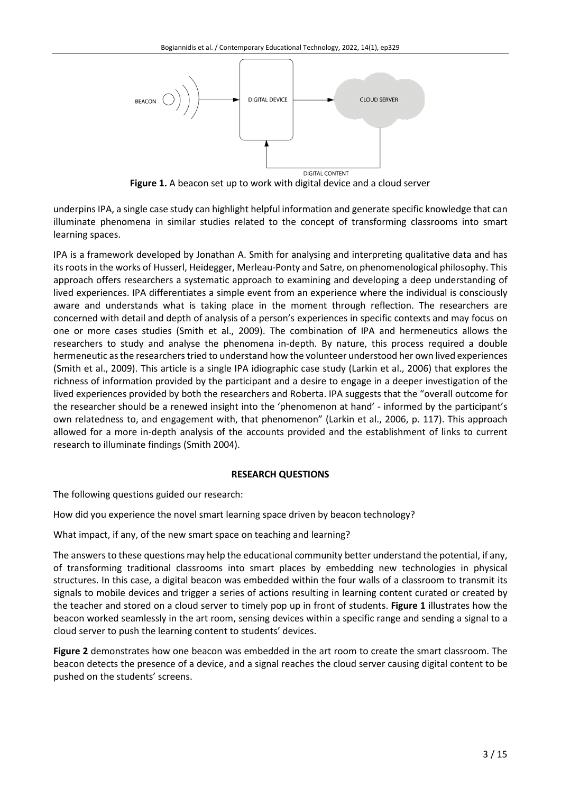

**Figure 1.** A beacon set up to work with digital device and a cloud server

underpins IPA, a single case study can highlight helpful information and generate specific knowledge that can illuminate phenomena in similar studies related to the concept of transforming classrooms into smart learning spaces.

IPA is a framework developed by Jonathan A. Smith for analysing and interpreting qualitative data and has its roots in the works of Husserl, Heidegger, Merleau-Ponty and Satre, on phenomenological philosophy. This approach offers researchers a systematic approach to examining and developing a deep understanding of lived experiences. IPA differentiates a simple event from an experience where the individual is consciously aware and understands what is taking place in the moment through reflection. The researchers are concerned with detail and depth of analysis of a person's experiences in specific contexts and may focus on one or more cases studies (Smith et al., 2009). The combination of IPA and hermeneutics allows the researchers to study and analyse the phenomena in-depth. By nature, this process required a double hermeneutic as the researchers tried to understand how the volunteer understood her own lived experiences (Smith et al., 2009). This article is a single IPA idiographic case study (Larkin et al., 2006) that explores the richness of information provided by the participant and a desire to engage in a deeper investigation of the lived experiences provided by both the researchers and Roberta. IPA suggests that the "overall outcome for the researcher should be a renewed insight into the 'phenomenon at hand' - informed by the participant's own relatedness to, and engagement with, that phenomenon" (Larkin et al., 2006, p. 117). This approach allowed for a more in-depth analysis of the accounts provided and the establishment of links to current research to illuminate findings (Smith 2004).

## **RESEARCH QUESTIONS**

The following questions guided our research:

How did you experience the novel smart learning space driven by beacon technology?

What impact, if any, of the new smart space on teaching and learning?

The answers to these questions may help the educational community better understand the potential, if any, of transforming traditional classrooms into smart places by embedding new technologies in physical structures. In this case, a digital beacon was embedded within the four walls of a classroom to transmit its signals to mobile devices and trigger a series of actions resulting in learning content curated or created by the teacher and stored on a cloud server to timely pop up in front of students. **Figure 1** illustrates how the beacon worked seamlessly in the art room, sensing devices within a specific range and sending a signal to a cloud server to push the learning content to students' devices.

**Figure 2** demonstrates how one beacon was embedded in the art room to create the smart classroom. The beacon detects the presence of a device, and a signal reaches the cloud server causing digital content to be pushed on the students' screens.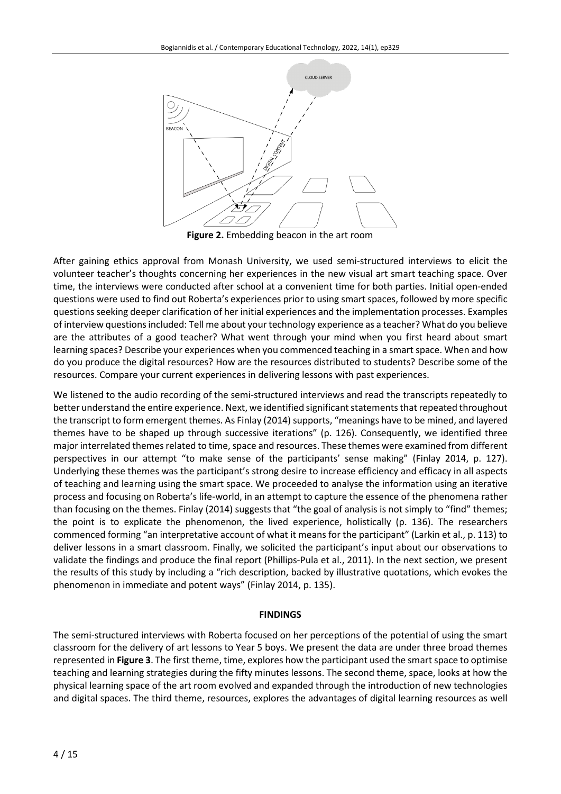

**Figure 2.** Embedding beacon in the art room

After gaining ethics approval from Monash University, we used semi-structured interviews to elicit the volunteer teacher's thoughts concerning her experiences in the new visual art smart teaching space. Over time, the interviews were conducted after school at a convenient time for both parties. Initial open-ended questions were used to find out Roberta's experiences prior to using smart spaces, followed by more specific questionsseeking deeper clarification of her initial experiences and the implementation processes. Examples of interview questionsincluded: Tell me about yourtechnology experience as a teacher? What do you believe are the attributes of a good teacher? What went through your mind when you first heard about smart learning spaces? Describe your experiences when you commenced teaching in a smart space. When and how do you produce the digital resources? How are the resources distributed to students? Describe some of the resources. Compare your current experiences in delivering lessons with past experiences.

We listened to the audio recording of the semi-structured interviews and read the transcripts repeatedly to better understand the entire experience. Next, we identified significant statements that repeated throughout the transcript to form emergent themes. As Finlay (2014) supports, "meanings have to be mined, and layered themes have to be shaped up through successive iterations" (p. 126). Consequently, we identified three major interrelated themes related to time, space and resources. These themes were examined from different perspectives in our attempt "to make sense of the participants' sense making" (Finlay 2014, p. 127). Underlying these themes was the participant's strong desire to increase efficiency and efficacy in all aspects of teaching and learning using the smart space. We proceeded to analyse the information using an iterative process and focusing on Roberta's life-world, in an attempt to capture the essence of the phenomena rather than focusing on the themes. Finlay (2014) suggests that "the goal of analysis is not simply to "find" themes; the point is to explicate the phenomenon, the lived experience, holistically (p. 136). The researchers commenced forming "an interpretative account of what it means for the participant" (Larkin et al., p. 113) to deliver lessons in a smart classroom. Finally, we solicited the participant's input about our observations to validate the findings and produce the final report (Phillips-Pula et al., 2011). In the next section, we present the results of this study by including a "rich description, backed by illustrative quotations, which evokes the phenomenon in immediate and potent ways" (Finlay 2014, p. 135).

## **FINDINGS**

The semi-structured interviews with Roberta focused on her perceptions of the potential of using the smart classroom for the delivery of art lessons to Year 5 boys. We present the data are under three broad themes represented in **Figure 3**. The first theme, time, explores how the participant used the smart space to optimise teaching and learning strategies during the fifty minutes lessons. The second theme, space, looks at how the physical learning space of the art room evolved and expanded through the introduction of new technologies and digital spaces. The third theme, resources, explores the advantages of digital learning resources as well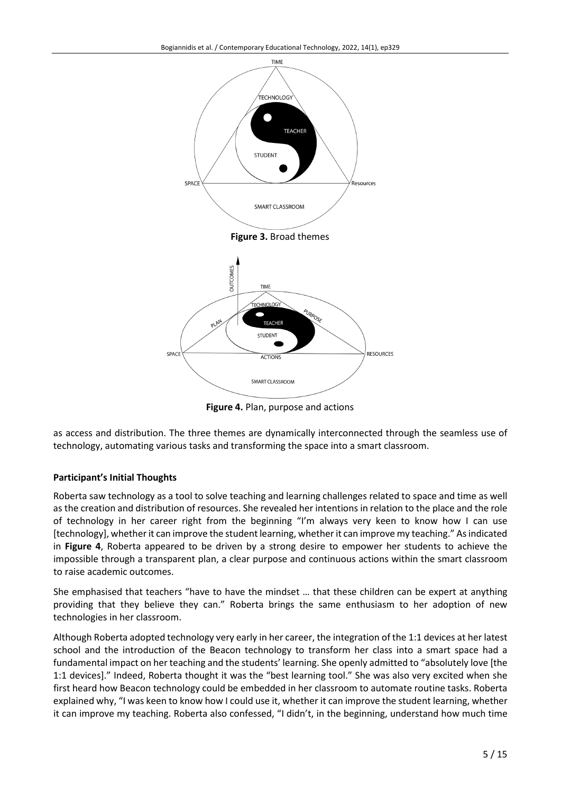

**Figure 4.** Plan, purpose and actions

as access and distribution. The three themes are dynamically interconnected through the seamless use of technology, automating various tasks and transforming the space into a smart classroom.

## **Participant's Initial Thoughts**

Roberta saw technology as a tool to solve teaching and learning challenges related to space and time as well as the creation and distribution of resources. She revealed her intentions in relation to the place and the role of technology in her career right from the beginning "I'm always very keen to know how I can use [technology], whetherit can improve the student learning, whetherit can improve my teaching." Asindicated in **Figure 4**, Roberta appeared to be driven by a strong desire to empower her students to achieve the impossible through a transparent plan, a clear purpose and continuous actions within the smart classroom to raise academic outcomes.

She emphasised that teachers "have to have the mindset … that these children can be expert at anything providing that they believe they can." Roberta brings the same enthusiasm to her adoption of new technologies in her classroom.

Although Roberta adopted technology very early in her career, the integration of the 1:1 devices at her latest school and the introduction of the Beacon technology to transform her class into a smart space had a fundamental impact on her teaching and the students' learning. She openly admitted to "absolutely love [the 1:1 devices]." Indeed, Roberta thought it was the "best learning tool." She was also very excited when she first heard how Beacon technology could be embedded in her classroom to automate routine tasks. Roberta explained why, "I was keen to know how I could use it, whether it can improve the student learning, whether it can improve my teaching. Roberta also confessed, "I didn't, in the beginning, understand how much time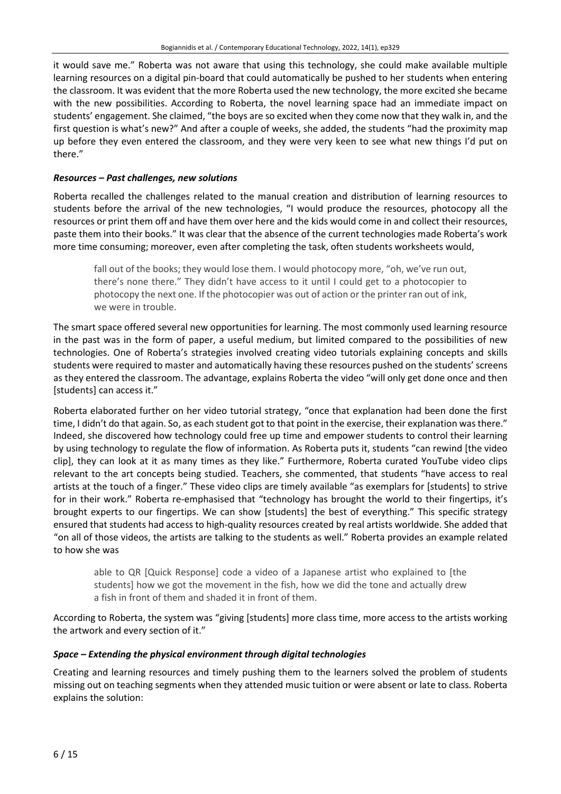it would save me." Roberta was not aware that using this technology, she could make available multiple learning resources on a digital pin-board that could automatically be pushed to her students when entering the classroom. It was evident that the more Roberta used the new technology, the more excited she became with the new possibilities. According to Roberta, the novel learning space had an immediate impact on students' engagement. She claimed, "the boys are so excited when they come now that they walk in, and the first question is what's new?" And after a couple of weeks, she added, the students "had the proximity map up before they even entered the classroom, and they were very keen to see what new things I'd put on there."

## *Resources – Past challenges, new solutions*

Roberta recalled the challenges related to the manual creation and distribution of learning resources to students before the arrival of the new technologies, "I would produce the resources, photocopy all the resources or print them off and have them over here and the kids would come in and collect their resources, paste them into their books." It was clear that the absence of the current technologies made Roberta's work more time consuming; moreover, even after completing the task, often students worksheets would,

fall out of the books; they would lose them. I would photocopy more, "oh, we've run out, there's none there." They didn't have access to it until I could get to a photocopier to photocopy the next one. If the photocopier was out of action or the printer ran out of ink, we were in trouble.

The smart space offered several new opportunities for learning. The most commonly used learning resource in the past was in the form of paper, a useful medium, but limited compared to the possibilities of new technologies. One of Roberta's strategies involved creating video tutorials explaining concepts and skills students were required to master and automatically having these resources pushed on the students' screens as they entered the classroom. The advantage, explains Roberta the video "will only get done once and then [students] can access it."

Roberta elaborated further on her video tutorial strategy, "once that explanation had been done the first time, I didn't do that again. So, as each student got to that point in the exercise, their explanation was there." Indeed, she discovered how technology could free up time and empower students to control their learning by using technology to regulate the flow of information. As Roberta puts it, students "can rewind [the video clip], they can look at it as many times as they like." Furthermore, Roberta curated YouTube video clips relevant to the art concepts being studied. Teachers, she commented, that students "have access to real artists at the touch of a finger." These video clips are timely available "as exemplars for [students] to strive for in their work." Roberta re-emphasised that "technology has brought the world to their fingertips, it's brought experts to our fingertips. We can show [students] the best of everything." This specific strategy ensured that students had access to high-quality resources created by real artists worldwide. She added that "on all of those videos, the artists are talking to the students as well." Roberta provides an example related to how she was

able to QR [Quick Response] code a video of a Japanese artist who explained to [the students] how we got the movement in the fish, how we did the tone and actually drew a fish in front of them and shaded it in front of them.

According to Roberta, the system was "giving [students] more class time, more access to the artists working the artwork and every section of it."

## *Space – Extending the physical environment through digital technologies*

Creating and learning resources and timely pushing them to the learners solved the problem of students missing out on teaching segments when they attended music tuition or were absent or late to class. Roberta explains the solution: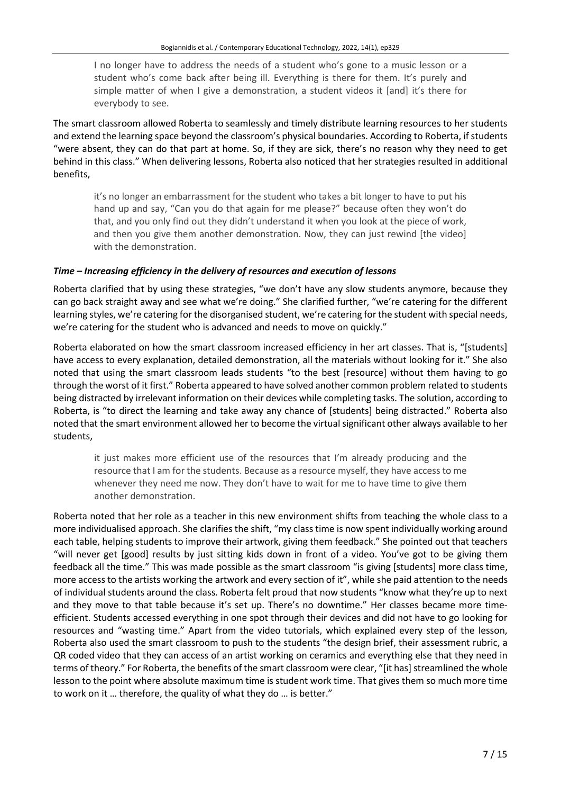I no longer have to address the needs of a student who's gone to a music lesson or a student who's come back after being ill. Everything is there for them. It's purely and simple matter of when I give a demonstration, a student videos it [and] it's there for everybody to see.

The smart classroom allowed Roberta to seamlessly and timely distribute learning resources to her students and extend the learning space beyond the classroom's physical boundaries. According to Roberta, if students "were absent, they can do that part at home. So, if they are sick, there's no reason why they need to get behind in this class." When delivering lessons, Roberta also noticed that her strategies resulted in additional benefits,

it's no longer an embarrassment for the student who takes a bit longer to have to put his hand up and say, "Can you do that again for me please?" because often they won't do that, and you only find out they didn't understand it when you look at the piece of work, and then you give them another demonstration. Now, they can just rewind [the video] with the demonstration.

## *Time – Increasing efficiency in the delivery of resources and execution of lessons*

Roberta clarified that by using these strategies, "we don't have any slow students anymore, because they can go back straight away and see what we're doing." She clarified further, "we're catering for the different learning styles, we're catering for the disorganised student, we're catering forthe student with special needs, we're catering for the student who is advanced and needs to move on quickly."

Roberta elaborated on how the smart classroom increased efficiency in her art classes. That is, "[students] have access to every explanation, detailed demonstration, all the materials without looking for it." She also noted that using the smart classroom leads students "to the best [resource] without them having to go through the worst of it first." Roberta appeared to have solved another common problem related to students being distracted by irrelevant information on their devices while completing tasks. The solution, according to Roberta, is "to direct the learning and take away any chance of [students] being distracted." Roberta also noted that the smart environment allowed her to become the virtual significant other always available to her students,

it just makes more efficient use of the resources that I'm already producing and the resource that I am for the students. Because as a resource myself, they have access to me whenever they need me now. They don't have to wait for me to have time to give them another demonstration.

Roberta noted that her role as a teacher in this new environment shifts from teaching the whole class to a more individualised approach. She clarifies the shift, "my class time is now spent individually working around each table, helping students to improve their artwork, giving them feedback." She pointed out that teachers "will never get [good] results by just sitting kids down in front of a video. You've got to be giving them feedback all the time." This was made possible as the smart classroom "is giving [students] more class time, more access to the artists working the artwork and every section of it", while she paid attention to the needs of individual students around the class. Roberta felt proud that now students "know what they're up to next and they move to that table because it's set up. There's no downtime." Her classes became more timeefficient. Students accessed everything in one spot through their devices and did not have to go looking for resources and "wasting time." Apart from the video tutorials, which explained every step of the lesson, Roberta also used the smart classroom to push to the students "the design brief, their assessment rubric, a QR coded video that they can access of an artist working on ceramics and everything else that they need in terms of theory." For Roberta, the benefits of the smart classroom were clear, "[it has] streamlined the whole lesson to the point where absolute maximum time is student work time. That gives them so much more time to work on it … therefore, the quality of what they do … is better."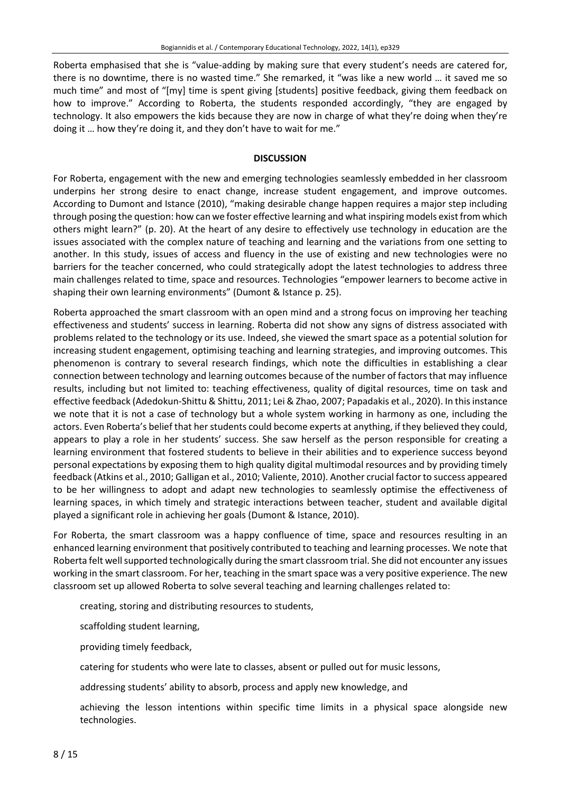Roberta emphasised that she is "value-adding by making sure that every student's needs are catered for, there is no downtime, there is no wasted time." She remarked, it "was like a new world … it saved me so much time" and most of "[my] time is spent giving [students] positive feedback, giving them feedback on how to improve." According to Roberta, the students responded accordingly, "they are engaged by technology. It also empowers the kids because they are now in charge of what they're doing when they're doing it … how they're doing it, and they don't have to wait for me."

#### **DISCUSSION**

For Roberta, engagement with the new and emerging technologies seamlessly embedded in her classroom underpins her strong desire to enact change, increase student engagement, and improve outcomes. According to Dumont and Istance (2010), "making desirable change happen requires a major step including through posing the question: how can we foster effective learning and what inspiring models existfrom which others might learn?" (p. 20). At the heart of any desire to effectively use technology in education are the issues associated with the complex nature of teaching and learning and the variations from one setting to another. In this study, issues of access and fluency in the use of existing and new technologies were no barriers for the teacher concerned, who could strategically adopt the latest technologies to address three main challenges related to time, space and resources. Technologies "empower learners to become active in shaping their own learning environments" (Dumont & Istance p. 25).

Roberta approached the smart classroom with an open mind and a strong focus on improving her teaching effectiveness and students' success in learning. Roberta did not show any signs of distress associated with problems related to the technology or its use. Indeed, she viewed the smart space as a potential solution for increasing student engagement, optimising teaching and learning strategies, and improving outcomes. This phenomenon is contrary to several research findings, which note the difficulties in establishing a clear connection between technology and learning outcomes because of the number of factors that may influence results, including but not limited to: teaching effectiveness, quality of digital resources, time on task and effective feedback (Adedokun-Shittu & Shittu, 2011; Lei & Zhao, 2007; Papadakis et al., 2020). In thisinstance we note that it is not a case of technology but a whole system working in harmony as one, including the actors. Even Roberta's belief that her students could become experts at anything, if they believed they could, appears to play a role in her students' success. She saw herself as the person responsible for creating a learning environment that fostered students to believe in their abilities and to experience success beyond personal expectations by exposing them to high quality digital multimodal resources and by providing timely feedback (Atkins et al., 2010; Galligan et al., 2010; Valiente, 2010). Another crucial factorto success appeared to be her willingness to adopt and adapt new technologies to seamlessly optimise the effectiveness of learning spaces, in which timely and strategic interactions between teacher, student and available digital played a significant role in achieving her goals (Dumont & Istance, 2010).

For Roberta, the smart classroom was a happy confluence of time, space and resources resulting in an enhanced learning environment that positively contributed to teaching and learning processes. We note that Roberta felt wellsupported technologically during the smart classroom trial. She did not encounter any issues working in the smart classroom. For her, teaching in the smart space was a very positive experience. The new classroom set up allowed Roberta to solve several teaching and learning challenges related to:

creating, storing and distributing resources to students,

scaffolding student learning,

providing timely feedback,

catering for students who were late to classes, absent or pulled out for music lessons,

addressing students' ability to absorb, process and apply new knowledge, and

achieving the lesson intentions within specific time limits in a physical space alongside new technologies.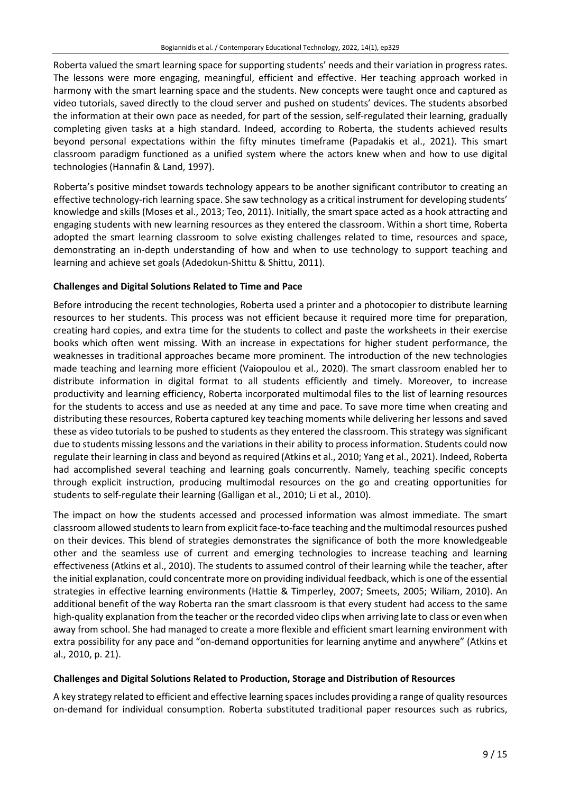Roberta valued the smart learning space for supporting students' needs and their variation in progress rates. The lessons were more engaging, meaningful, efficient and effective. Her teaching approach worked in harmony with the smart learning space and the students. New concepts were taught once and captured as video tutorials, saved directly to the cloud server and pushed on students' devices. The students absorbed the information at their own pace as needed, for part of the session, self-regulated their learning, gradually completing given tasks at a high standard. Indeed, according to Roberta, the students achieved results beyond personal expectations within the fifty minutes timeframe (Papadakis et al., 2021). This smart classroom paradigm functioned as a unified system where the actors knew when and how to use digital technologies (Hannafin & Land, 1997).

Roberta's positive mindset towards technology appears to be another significant contributor to creating an effective technology-rich learning space. She saw technology as a critical instrument for developing students' knowledge and skills (Moses et al., 2013; Teo, 2011). Initially, the smart space acted as a hook attracting and engaging students with new learning resources as they entered the classroom. Within a short time, Roberta adopted the smart learning classroom to solve existing challenges related to time, resources and space, demonstrating an in-depth understanding of how and when to use technology to support teaching and learning and achieve set goals (Adedokun-Shittu & Shittu, 2011).

## **Challenges and Digital Solutions Related to Time and Pace**

Before introducing the recent technologies, Roberta used a printer and a photocopier to distribute learning resources to her students. This process was not efficient because it required more time for preparation, creating hard copies, and extra time for the students to collect and paste the worksheets in their exercise books which often went missing. With an increase in expectations for higher student performance, the weaknesses in traditional approaches became more prominent. The introduction of the new technologies made teaching and learning more efficient (Vaiopoulou et al., 2020). The smart classroom enabled her to distribute information in digital format to all students efficiently and timely. Moreover, to increase productivity and learning efficiency, Roberta incorporated multimodal files to the list of learning resources for the students to access and use as needed at any time and pace. To save more time when creating and distributing these resources, Roberta captured key teaching moments while delivering her lessons and saved these as video tutorials to be pushed to students as they entered the classroom. This strategy was significant due to students missing lessons and the variations in their ability to process information. Students could now regulate their learning in class and beyond as required (Atkins et al., 2010; Yang et al., 2021). Indeed, Roberta had accomplished several teaching and learning goals concurrently. Namely, teaching specific concepts through explicit instruction, producing multimodal resources on the go and creating opportunities for students to self-regulate their learning (Galligan et al., 2010; Li et al., 2010).

The impact on how the students accessed and processed information was almost immediate. The smart classroom allowed students to learn from explicit face-to-face teaching and the multimodal resources pushed on their devices. This blend of strategies demonstrates the significance of both the more knowledgeable other and the seamless use of current and emerging technologies to increase teaching and learning effectiveness (Atkins et al., 2010). The students to assumed control of their learning while the teacher, after the initial explanation, could concentrate more on providing individual feedback, which is one of the essential strategies in effective learning environments (Hattie & Timperley, 2007; Smeets, 2005; Wiliam, 2010). An additional benefit of the way Roberta ran the smart classroom is that every student had access to the same high-quality explanation from the teacher orthe recorded video clips when arriving late to class or even when away from school. She had managed to create a more flexible and efficient smart learning environment with extra possibility for any pace and "on-demand opportunities for learning anytime and anywhere" (Atkins et al., 2010, p. 21).

## **Challenges and Digital Solutions Related to Production, Storage and Distribution of Resources**

A key strategy related to efficient and effective learning spacesincludes providing a range of quality resources on-demand for individual consumption. Roberta substituted traditional paper resources such as rubrics,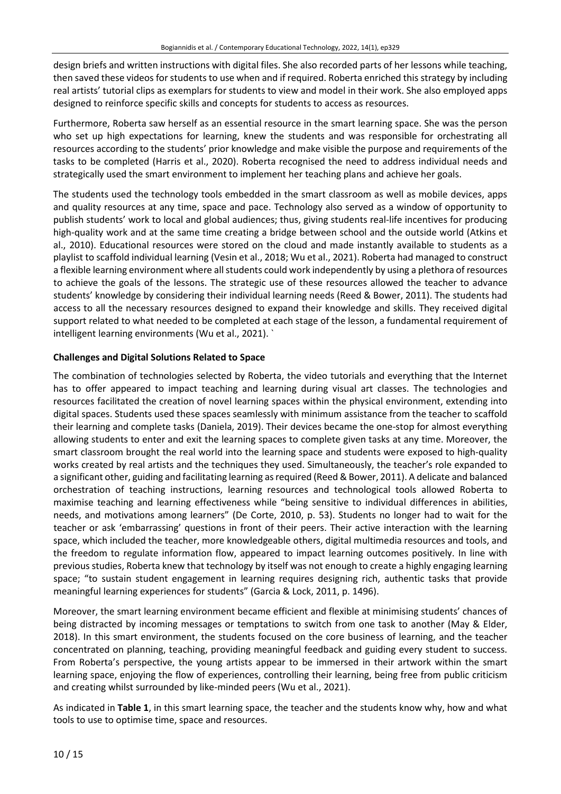design briefs and written instructions with digital files. She also recorded parts of her lessons while teaching, then saved these videos forstudents to use when and if required. Roberta enriched this strategy by including real artists' tutorial clips as exemplars for students to view and model in their work. She also employed apps designed to reinforce specific skills and concepts for students to access as resources.

Furthermore, Roberta saw herself as an essential resource in the smart learning space. She was the person who set up high expectations for learning, knew the students and was responsible for orchestrating all resources according to the students' prior knowledge and make visible the purpose and requirements of the tasks to be completed (Harris et al., 2020). Roberta recognised the need to address individual needs and strategically used the smart environment to implement her teaching plans and achieve her goals.

The students used the technology tools embedded in the smart classroom as well as mobile devices, apps and quality resources at any time, space and pace. Technology also served as a window of opportunity to publish students' work to local and global audiences; thus, giving students real-life incentives for producing high-quality work and at the same time creating a bridge between school and the outside world (Atkins et al., 2010). Educational resources were stored on the cloud and made instantly available to students as a playlist to scaffold individual learning (Vesin et al., 2018; Wu et al., 2021). Roberta had managed to construct a flexible learning environment where all students could work independently by using a plethora of resources to achieve the goals of the lessons. The strategic use of these resources allowed the teacher to advance students' knowledge by considering their individual learning needs (Reed & Bower, 2011). The students had access to all the necessary resources designed to expand their knowledge and skills. They received digital support related to what needed to be completed at each stage of the lesson, a fundamental requirement of intelligent learning environments (Wu et al., 2021). `

## **Challenges and Digital Solutions Related to Space**

The combination of technologies selected by Roberta, the video tutorials and everything that the Internet has to offer appeared to impact teaching and learning during visual art classes. The technologies and resources facilitated the creation of novel learning spaces within the physical environment, extending into digital spaces. Students used these spaces seamlessly with minimum assistance from the teacher to scaffold their learning and complete tasks (Daniela, 2019). Their devices became the one-stop for almost everything allowing students to enter and exit the learning spaces to complete given tasks at any time. Moreover, the smart classroom brought the real world into the learning space and students were exposed to high-quality works created by real artists and the techniques they used. Simultaneously, the teacher's role expanded to a significant other, guiding and facilitating learning as required (Reed & Bower, 2011). A delicate and balanced orchestration of teaching instructions, learning resources and technological tools allowed Roberta to maximise teaching and learning effectiveness while "being sensitive to individual differences in abilities, needs, and motivations among learners" (De Corte, 2010, p. 53). Students no longer had to wait for the teacher or ask 'embarrassing' questions in front of their peers. Their active interaction with the learning space, which included the teacher, more knowledgeable others, digital multimedia resources and tools, and the freedom to regulate information flow, appeared to impact learning outcomes positively. In line with previous studies, Roberta knew that technology by itself was not enough to create a highly engaging learning space; "to sustain student engagement in learning requires designing rich, authentic tasks that provide meaningful learning experiences for students" (Garcia & Lock, 2011, p. 1496).

Moreover, the smart learning environment became efficient and flexible at minimising students' chances of being distracted by incoming messages or temptations to switch from one task to another (May & Elder, 2018). In this smart environment, the students focused on the core business of learning, and the teacher concentrated on planning, teaching, providing meaningful feedback and guiding every student to success. From Roberta's perspective, the young artists appear to be immersed in their artwork within the smart learning space, enjoying the flow of experiences, controlling their learning, being free from public criticism and creating whilst surrounded by like-minded peers (Wu et al., 2021).

As indicated in **Table 1**, in this smart learning space, the teacher and the students know why, how and what tools to use to optimise time, space and resources.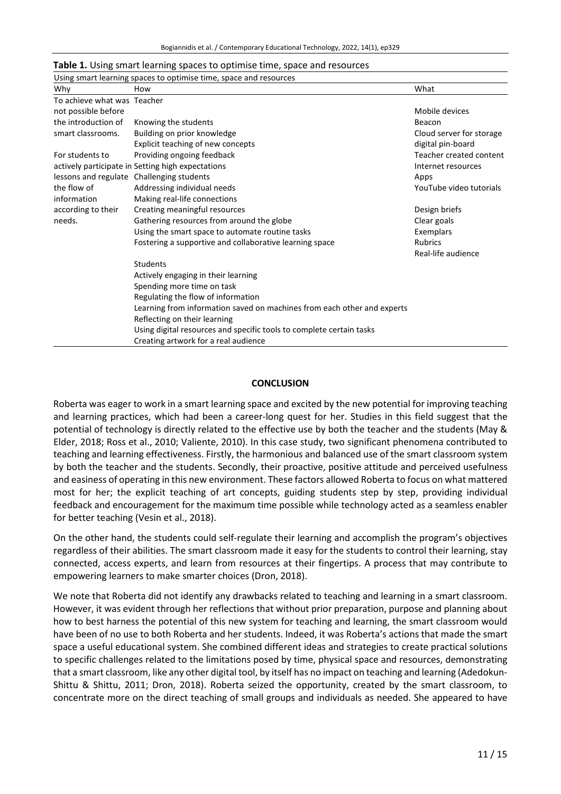| Table 1. Using smart learning spaces to optimise time, space and resources |  |
|----------------------------------------------------------------------------|--|
|----------------------------------------------------------------------------|--|

| Using smart learning spaces to optimise time, space and resources |                                                                         |                          |  |
|-------------------------------------------------------------------|-------------------------------------------------------------------------|--------------------------|--|
| Why                                                               | How                                                                     | What                     |  |
| To achieve what was Teacher                                       |                                                                         |                          |  |
| not possible before                                               |                                                                         | Mobile devices           |  |
| the introduction of                                               | Knowing the students                                                    | Beacon                   |  |
| smart classrooms.                                                 | Building on prior knowledge                                             | Cloud server for storage |  |
|                                                                   | Explicit teaching of new concepts                                       | digital pin-board        |  |
| For students to                                                   | Providing ongoing feedback                                              | Teacher created content  |  |
|                                                                   | actively participate in Setting high expectations                       | Internet resources       |  |
|                                                                   | lessons and regulate Challenging students                               | Apps                     |  |
| the flow of                                                       | Addressing individual needs                                             | YouTube video tutorials  |  |
| information                                                       | Making real-life connections                                            |                          |  |
| according to their                                                | Creating meaningful resources                                           | Design briefs            |  |
| needs.                                                            | Gathering resources from around the globe                               | Clear goals              |  |
|                                                                   | Using the smart space to automate routine tasks                         | Exemplars                |  |
|                                                                   | Fostering a supportive and collaborative learning space                 | <b>Rubrics</b>           |  |
|                                                                   |                                                                         | Real-life audience       |  |
|                                                                   | <b>Students</b>                                                         |                          |  |
|                                                                   | Actively engaging in their learning                                     |                          |  |
|                                                                   | Spending more time on task                                              |                          |  |
|                                                                   | Regulating the flow of information                                      |                          |  |
|                                                                   | Learning from information saved on machines from each other and experts |                          |  |
|                                                                   | Reflecting on their learning                                            |                          |  |
|                                                                   | Using digital resources and specific tools to complete certain tasks    |                          |  |
|                                                                   | Creating artwork for a real audience                                    |                          |  |

#### **CONCLUSION**

Roberta was eager to work in a smart learning space and excited by the new potential for improving teaching and learning practices, which had been a career-long quest for her. Studies in this field suggest that the potential of technology is directly related to the effective use by both the teacher and the students (May & Elder, 2018; Ross et al., 2010; Valiente, 2010). In this case study, two significant phenomena contributed to teaching and learning effectiveness. Firstly, the harmonious and balanced use of the smart classroom system by both the teacher and the students. Secondly, their proactive, positive attitude and perceived usefulness and easiness of operating in this new environment. These factors allowed Roberta to focus on what mattered most for her; the explicit teaching of art concepts, guiding students step by step, providing individual feedback and encouragement for the maximum time possible while technology acted as a seamless enabler for better teaching (Vesin et al., 2018).

On the other hand, the students could self-regulate their learning and accomplish the program's objectives regardless of their abilities. The smart classroom made it easy for the students to control their learning, stay connected, access experts, and learn from resources at their fingertips. A process that may contribute to empowering learners to make smarter choices (Dron, 2018).

We note that Roberta did not identify any drawbacks related to teaching and learning in a smart classroom. However, it was evident through her reflections that without prior preparation, purpose and planning about how to best harness the potential of this new system for teaching and learning, the smart classroom would have been of no use to both Roberta and her students. Indeed, it was Roberta's actions that made the smart space a useful educational system. She combined different ideas and strategies to create practical solutions to specific challenges related to the limitations posed by time, physical space and resources, demonstrating that a smart classroom, like any other digital tool, by itself has no impact on teaching and learning (Adedokun-Shittu & Shittu, 2011; Dron, 2018). Roberta seized the opportunity, created by the smart classroom, to concentrate more on the direct teaching of small groups and individuals as needed. She appeared to have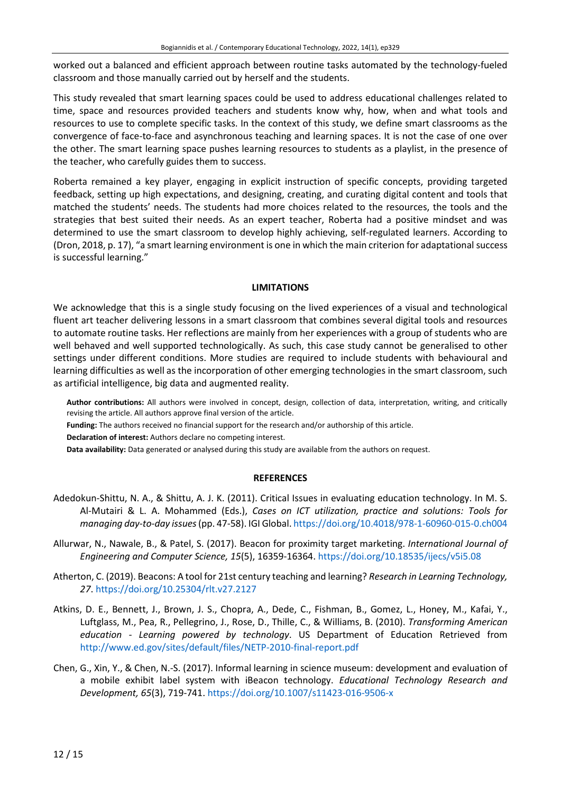worked out a balanced and efficient approach between routine tasks automated by the technology-fueled classroom and those manually carried out by herself and the students.

This study revealed that smart learning spaces could be used to address educational challenges related to time, space and resources provided teachers and students know why, how, when and what tools and resources to use to complete specific tasks. In the context of this study, we define smart classrooms as the convergence of face-to-face and asynchronous teaching and learning spaces. It is not the case of one over the other. The smart learning space pushes learning resources to students as a playlist, in the presence of the teacher, who carefully guides them to success.

Roberta remained a key player, engaging in explicit instruction of specific concepts, providing targeted feedback, setting up high expectations, and designing, creating, and curating digital content and tools that matched the students' needs. The students had more choices related to the resources, the tools and the strategies that best suited their needs. As an expert teacher, Roberta had a positive mindset and was determined to use the smart classroom to develop highly achieving, self-regulated learners. According to (Dron, 2018, p. 17), "a smart learning environment is one in which the main criterion for adaptational success is successful learning."

#### **LIMITATIONS**

We acknowledge that this is a single study focusing on the lived experiences of a visual and technological fluent art teacher delivering lessons in a smart classroom that combines several digital tools and resources to automate routine tasks. Her reflections are mainly from her experiences with a group of students who are well behaved and well supported technologically. As such, this case study cannot be generalised to other settings under different conditions. More studies are required to include students with behavioural and learning difficulties as well as the incorporation of other emerging technologies in the smart classroom, such as artificial intelligence, big data and augmented reality.

**Author contributions:** All authors were involved in concept, design, collection of data, interpretation, writing, and critically revising the article. All authors approve final version of the article.

**Funding:** The authors received no financial support for the research and/or authorship of this article.

**Declaration of interest:** Authors declare no competing interest.

**Data availability:** Data generated or analysed during this study are available from the authors on request.

## **REFERENCES**

- Adedokun-Shittu, N. A., & Shittu, A. J. K. (2011). Critical Issues in evaluating education technology. In M. S. Al-Mutairi & L. A. Mohammed (Eds.), *Cases on ICT utilization, practice and solutions: Tools for managing day-to-day issues*(pp. 47-58). IGI Global. <https://doi.org/10.4018/978-1-60960-015-0.ch004>
- Allurwar, N., Nawale, B., & Patel, S. (2017). Beacon for proximity target marketing. *International Journal of Engineering and Computer Science, 15*(5), 16359-16364. <https://doi.org/10.18535/ijecs/v5i5.08>
- Atherton, C. (2019). Beacons: A tool for 21st century teaching and learning? *Research in Learning Technology, 27*. <https://doi.org/10.25304/rlt.v27.2127>
- Atkins, D. E., Bennett, J., Brown, J. S., Chopra, A., Dede, C., Fishman, B., Gomez, L., Honey, M., Kafai, Y., Luftglass, M., Pea, R., Pellegrino, J., Rose, D., Thille, C., & Williams, B. (2010). *Transforming American education - Learning powered by technology*. US Department of Education Retrieved from <http://www.ed.gov/sites/default/files/NETP-2010-final-report.pdf>
- Chen, G., Xin, Y., & Chen, N.-S. (2017). Informal learning in science museum: development and evaluation of a mobile exhibit label system with iBeacon technology. *Educational Technology Research and Development, 65*(3), 719-741. <https://doi.org/10.1007/s11423-016-9506-x>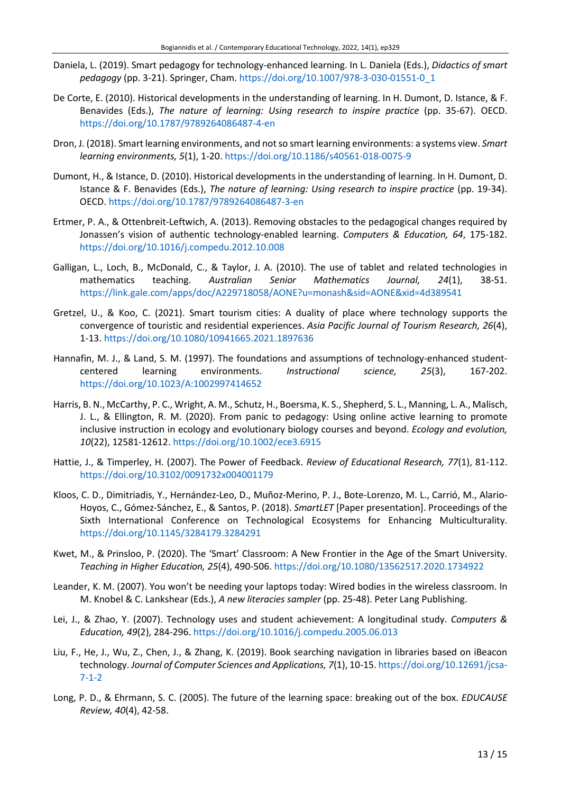- Daniela, L. (2019). Smart pedagogy for technology-enhanced learning. In L. Daniela (Eds.), *Didactics of smart pedagogy* (pp. 3-21). Springer, Cham. [https://doi.org/10.1007/978-3-030-01551-0\\_1](https://doi.org/10.1007/978-3-030-01551-0_1)
- De Corte, E. (2010). Historical developments in the understanding of learning. In H. Dumont, D. Istance, & F. Benavides (Eds.), *The nature of learning: Using research to inspire practice* (pp. 35-67). OECD. <https://doi.org/10.1787/9789264086487-4-en>
- Dron, J. (2018). Smart learning environments, and notso smart learning environments: a systems view. *Smart learning environments, 5*(1), 1-20. <https://doi.org/10.1186/s40561-018-0075-9>
- Dumont, H., & Istance, D. (2010). Historical developments in the understanding of learning. In H. Dumont, D. Istance & F. Benavides (Eds.), *The nature of learning: Using research to inspire practice* (pp. 19-34). OECD. <https://doi.org/10.1787/9789264086487-3-en>
- Ertmer, P. A., & Ottenbreit-Leftwich, A. (2013). Removing obstacles to the pedagogical changes required by Jonassen's vision of authentic technology-enabled learning. *Computers & Education, 64*, 175-182. <https://doi.org/10.1016/j.compedu.2012.10.008>
- Galligan, L., Loch, B., McDonald, C., & Taylor, J. A. (2010). The use of tablet and related technologies in mathematics teaching. *Australian Senior Mathematics Journal, 24*(1), 38-51. <https://link.gale.com/apps/doc/A229718058/AONE?u=monash&sid=AONE&xid=4d389541>
- Gretzel, U., & Koo, C. (2021). Smart tourism cities: A duality of place where technology supports the convergence of touristic and residential experiences. *Asia Pacific Journal of Tourism Research, 26*(4), 1-13. <https://doi.org/10.1080/10941665.2021.1897636>
- Hannafin, M. J., & Land, S. M. (1997). The foundations and assumptions of technology-enhanced studentcentered learning environments. *Instructional science, 25*(3), 167-202. <https://doi.org/10.1023/A:1002997414652>
- Harris, B. N., McCarthy, P. C., Wright, A. M., Schutz, H., Boersma, K. S., Shepherd, S. L., Manning, L. A., Malisch, J. L., & Ellington, R. M. (2020). From panic to pedagogy: Using online active learning to promote inclusive instruction in ecology and evolutionary biology courses and beyond. *Ecology and evolution, 10*(22), 12581-12612. <https://doi.org/10.1002/ece3.6915>
- Hattie, J., & Timperley, H. (2007). The Power of Feedback. *Review of Educational Research, 77*(1), 81-112. <https://doi.org/10.3102/0091732x004001179>
- Kloos, C. D., Dimitriadis, Y., Hernández-Leo, D., Muñoz-Merino, P. J., Bote-Lorenzo, M. L., Carrió, M., Alario-Hoyos, C., Gómez-Sánchez, E., & Santos, P. (2018). *SmartLET* [Paper presentation]. Proceedings of the Sixth International Conference on Technological Ecosystems for Enhancing Multiculturality. <https://doi.org/10.1145/3284179.3284291>
- Kwet, M., & Prinsloo, P. (2020). The 'Smart' Classroom: A New Frontier in the Age of the Smart University. *Teaching in Higher Education, 25*(4), 490-506. <https://doi.org/10.1080/13562517.2020.1734922>
- Leander, K. M. (2007). You won't be needing your laptops today: Wired bodies in the wireless classroom. In M. Knobel & C. Lankshear (Eds.), *A new literacies sampler* (pp. 25-48). Peter Lang Publishing.
- Lei, J., & Zhao, Y. (2007). Technology uses and student achievement: A longitudinal study. *Computers & Education, 49*(2), 284-296. <https://doi.org/10.1016/j.compedu.2005.06.013>
- Liu, F., He, J., Wu, Z., Chen, J., & Zhang, K. (2019). Book searching navigation in libraries based on iBeacon technology. *Journal of Computer Sciences and Applications, 7*(1), 10-15. [https://doi.org/10.12691/jcsa-](https://doi.org/10.12691/jcsa-7-1-2)[7-1-2](https://doi.org/10.12691/jcsa-7-1-2)
- Long, P. D., & Ehrmann, S. C. (2005). The future of the learning space: breaking out of the box. *EDUCAUSE Review, 40*(4), 42-58.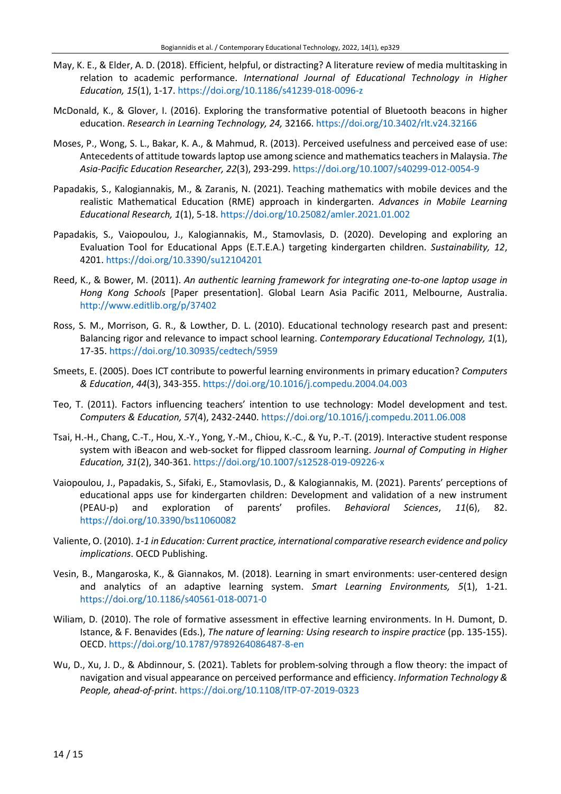- May, K. E., & Elder, A. D. (2018). Efficient, helpful, or distracting? A literature review of media multitasking in relation to academic performance. *International Journal of Educational Technology in Higher Education, 15*(1), 1-17. <https://doi.org/10.1186/s41239-018-0096-z>
- McDonald, K., & Glover, I. (2016). Exploring the transformative potential of Bluetooth beacons in higher education. *Research in Learning Technology, 24,* 32166. <https://doi.org/10.3402/rlt.v24.32166>
- Moses, P., Wong, S. L., Bakar, K. A., & Mahmud, R. (2013). Perceived usefulness and perceived ease of use: Antecedents of attitude towards laptop use among science and mathematicsteachers in Malaysia. *The Asia-Pacific Education Researcher, 22*(3), 293-299. <https://doi.org/10.1007/s40299-012-0054-9>
- Papadakis, S., Kalogiannakis, M., & Zaranis, N. (2021). Teaching mathematics with mobile devices and the realistic Mathematical Education (RME) approach in kindergarten. *Advances in Mobile Learning Educational Research, 1*(1), 5-18. <https://doi.org/10.25082/amler.2021.01.002>
- Papadakis, S., Vaiopoulou, J., Kalogiannakis, M., Stamovlasis, D. (2020). Developing and exploring an Evaluation Tool for Educational Apps (E.T.E.A.) targeting kindergarten children. *Sustainability, 12*, 4201. <https://doi.org/10.3390/su12104201>
- Reed, K., & Bower, M. (2011). *An authentic learning framework for integrating one-to-one laptop usage in Hong Kong Schools* [Paper presentation]. Global Learn Asia Pacific 2011, Melbourne, Australia. <http://www.editlib.org/p/37402>
- Ross, S. M., Morrison, G. R., & Lowther, D. L. (2010). Educational technology research past and present: Balancing rigor and relevance to impact school learning. *Contemporary Educational Technology, 1*(1), 17-35. <https://doi.org/10.30935/cedtech/5959>
- Smeets, E. (2005). Does ICT contribute to powerful learning environments in primary education? *Computers & Education*, *44*(3), 343-355. <https://doi.org/10.1016/j.compedu.2004.04.003>
- Teo, T. (2011). Factors influencing teachers' intention to use technology: Model development and test. *Computers & Education, 57*(4), 2432-2440. <https://doi.org/10.1016/j.compedu.2011.06.008>
- Tsai, H.-H., Chang, C.-T., Hou, X.-Y., Yong, Y.-M., Chiou, K.-C., & Yu, P.-T. (2019). Interactive student response system with iBeacon and web-socket for flipped classroom learning. *Journal of Computing in Higher Education, 31*(2), 340-361. <https://doi.org/10.1007/s12528-019-09226-x>
- Vaiopoulou, J., Papadakis, S., Sifaki, E., Stamovlasis, D., & Kalogiannakis, M. (2021). Parents' perceptions of educational apps use for kindergarten children: Development and validation of a new instrument (PEAU-p) and exploration of parents' profiles. *Behavioral Sciences*, *11*(6), 82. <https://doi.org/10.3390/bs11060082>
- Valiente,O. (2010). *1-1 in Education: Current practice, international comparative research evidence and policy implications*. OECD Publishing.
- Vesin, B., Mangaroska, K., & Giannakos, M. (2018). Learning in smart environments: user-centered design and analytics of an adaptive learning system. *Smart Learning Environments, 5*(1), 1-21. <https://doi.org/10.1186/s40561-018-0071-0>
- Wiliam, D. (2010). The role of formative assessment in effective learning environments. In H. Dumont, D. Istance, & F. Benavides (Eds.), *The nature of learning: Using research to inspire practice* (pp. 135-155). OECD. <https://doi.org/10.1787/9789264086487-8-en>
- Wu, D., Xu, J. D., & Abdinnour, S. (2021). Tablets for problem-solving through a flow theory: the impact of navigation and visual appearance on perceived performance and efficiency. *Information Technology & People, ahead-of-print*. <https://doi.org/10.1108/ITP-07-2019-0323>